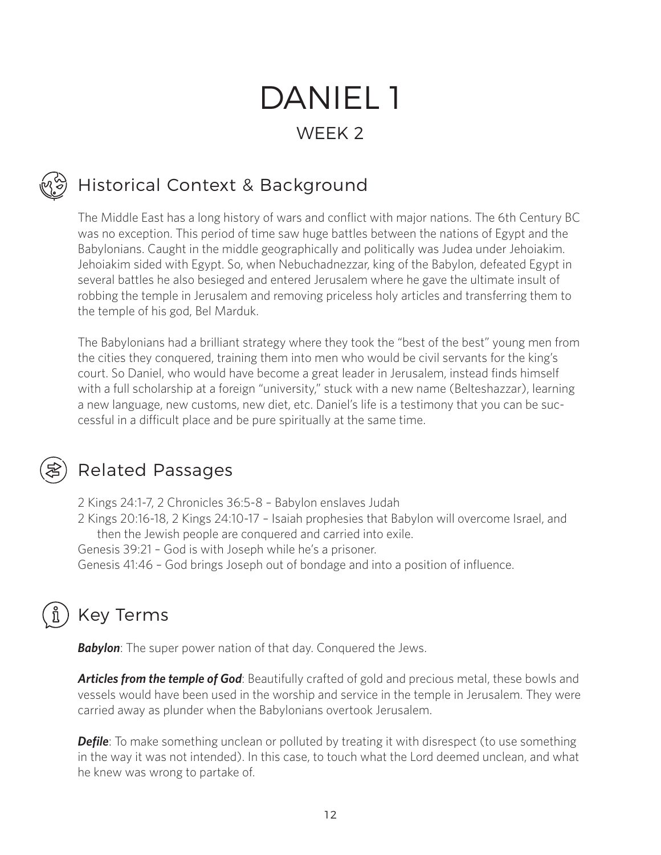# DANIEL 1 WEEK 2

# Historical Context & Background

The Middle East has a long history of wars and conflict with major nations. The 6th Century BC was no exception. This period of time saw huge battles between the nations of Egypt and the Babylonians. Caught in the middle geographically and politically was Judea under Jehoiakim. Jehoiakim sided with Egypt. So, when Nebuchadnezzar, king of the Babylon, defeated Egypt in several battles he also besieged and entered Jerusalem where he gave the ultimate insult of robbing the temple in Jerusalem and removing priceless holy articles and transferring them to the temple of his god, Bel Marduk.

The Babylonians had a brilliant strategy where they took the "best of the best" young men from the cities they conquered, training them into men who would be civil servants for the king's court. So Daniel, who would have become a great leader in Jerusalem, instead finds himself with a full scholarship at a foreign "university," stuck with a new name (Belteshazzar), learning a new language, new customs, new diet, etc. Daniel's life is a testimony that you can be successful in a difficult place and be pure spiritually at the same time.

#### Related Passages

2 Kings 24:1-7, 2 Chronicles 36:5-8 – Babylon enslaves Judah 2 Kings 20:16-18, 2 Kings 24:10-17 – Isaiah prophesies that Babylon will overcome Israel, and then the Jewish people are conquered and carried into exile. Genesis 39:21 – God is with Joseph while he's a prisoner. Genesis 41:46 – God brings Joseph out of bondage and into a position of influence.

# Key Terms

**Babylon**: The super power nation of that day. Conquered the Jews.

*Articles from the temple of God*: Beautifully crafted of gold and precious metal, these bowls and vessels would have been used in the worship and service in the temple in Jerusalem. They were carried away as plunder when the Babylonians overtook Jerusalem.

**Defile**: To make something unclean or polluted by treating it with disrespect (to use something in the way it was not intended). In this case, to touch what the Lord deemed unclean, and what he knew was wrong to partake of.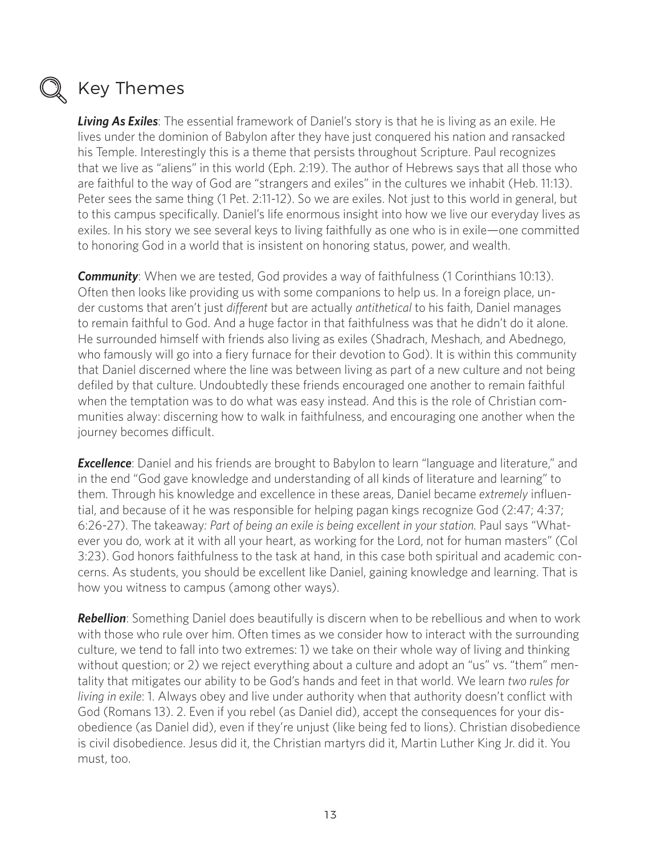

#### Key Themes

*Living As Exiles*: The essential framework of Daniel's story is that he is living as an exile. He lives under the dominion of Babylon after they have just conquered his nation and ransacked his Temple. Interestingly this is a theme that persists throughout Scripture. Paul recognizes that we live as "aliens" in this world (Eph. 2:19). The author of Hebrews says that all those who are faithful to the way of God are "strangers and exiles" in the cultures we inhabit (Heb. 11:13). Peter sees the same thing (1 Pet. 2:11-12). So we are exiles. Not just to this world in general, but to this campus specifically. Daniel's life enormous insight into how we live our everyday lives as exiles. In his story we see several keys to living faithfully as one who is in exile—one committed to honoring God in a world that is insistent on honoring status, power, and wealth.

**Community**: When we are tested, God provides a way of faithfulness (1 Corinthians 10:13). Often then looks like providing us with some companions to help us. In a foreign place, under customs that aren't just *different* but are actually *antithetical* to his faith, Daniel manages to remain faithful to God. And a huge factor in that faithfulness was that he didn't do it alone. He surrounded himself with friends also living as exiles (Shadrach, Meshach, and Abednego, who famously will go into a fiery furnace for their devotion to God). It is within this community that Daniel discerned where the line was between living as part of a new culture and not being defiled by that culture. Undoubtedly these friends encouraged one another to remain faithful when the temptation was to do what was easy instead. And this is the role of Christian communities alway: discerning how to walk in faithfulness, and encouraging one another when the journey becomes difficult.

**Excellence**: Daniel and his friends are brought to Babylon to learn "language and literature," and in the end "God gave knowledge and understanding of all kinds of literature and learning" to them. Through his knowledge and excellence in these areas, Daniel became *extremely* influential, and because of it he was responsible for helping pagan kings recognize God (2:47; 4:37; 6:26-27). The takeaway*: Part of being an exile is being excellent in your station.* Paul says "Whatever you do, work at it with all your heart, as working for the Lord, not for human masters" (Col 3:23). God honors faithfulness to the task at hand, in this case both spiritual and academic concerns. As students, you should be excellent like Daniel, gaining knowledge and learning. That is how you witness to campus (among other ways).

**Rebellion**: Something Daniel does beautifully is discern when to be rebellious and when to work with those who rule over him. Often times as we consider how to interact with the surrounding culture, we tend to fall into two extremes: 1) we take on their whole way of living and thinking without question; or 2) we reject everything about a culture and adopt an "us" vs. "them" mentality that mitigates our ability to be God's hands and feet in that world. We learn *two rules for living in exile*: 1. Always obey and live under authority when that authority doesn't conflict with God (Romans 13). 2. Even if you rebel (as Daniel did), accept the consequences for your disobedience (as Daniel did), even if they're unjust (like being fed to lions). Christian disobedience is civil disobedience. Jesus did it, the Christian martyrs did it, Martin Luther King Jr. did it. You must, too.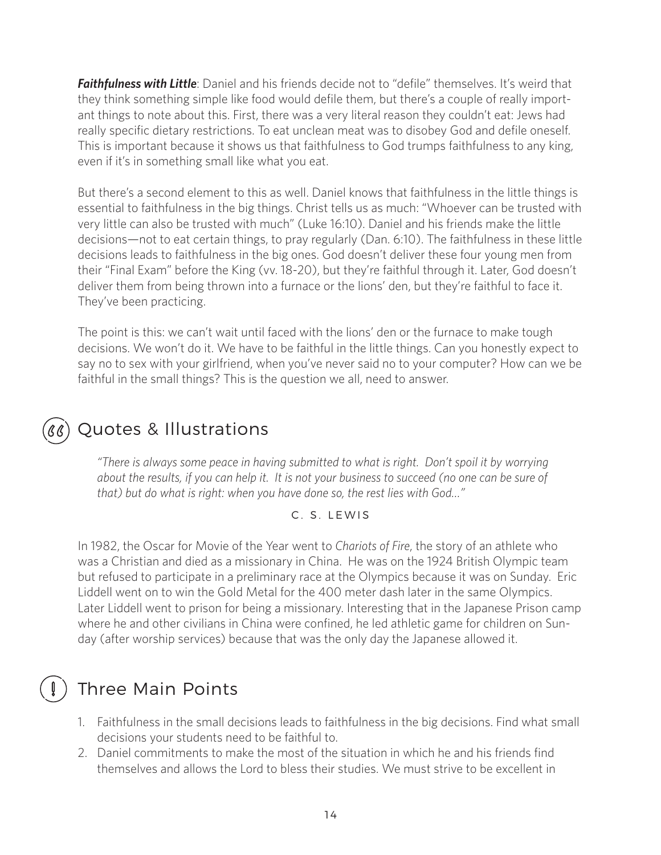*Faithfulness with Little*: Daniel and his friends decide not to "defile" themselves. It's weird that they think something simple like food would defile them, but there's a couple of really important things to note about this. First, there was a very literal reason they couldn't eat: Jews had really specific dietary restrictions. To eat unclean meat was to disobey God and defile oneself. This is important because it shows us that faithfulness to God trumps faithfulness to any king, even if it's in something small like what you eat.

But there's a second element to this as well. Daniel knows that faithfulness in the little things is essential to faithfulness in the big things. Christ tells us as much: "Whoever can be trusted with very little can also be trusted with much" (Luke 16:10). Daniel and his friends make the little decisions—not to eat certain things, to pray regularly (Dan. 6:10). The faithfulness in these little decisions leads to faithfulness in the big ones. God doesn't deliver these four young men from their "Final Exam" before the King (vv. 18-20), but they're faithful through it. Later, God doesn't deliver them from being thrown into a furnace or the lions' den, but they're faithful to face it. They've been practicing.

The point is this: we can't wait until faced with the lions' den or the furnace to make tough decisions. We won't do it. We have to be faithful in the little things. Can you honestly expect to say no to sex with your girlfriend, when you've never said no to your computer? How can we be faithful in the small things? This is the question we all, need to answer.

# Quotes & Illustrations

*"There is always some peace in having submitted to what is right. Don't spoil it by worrying about the results, if you can help it. It is not your business to succeed (no one can be sure of that) but do what is right: when you have done so, the rest lies with God…"*

C. S. LEWIS

In 1982, the Oscar for Movie of the Year went to *Chariots of Fire*, the story of an athlete who was a Christian and died as a missionary in China. He was on the 1924 British Olympic team but refused to participate in a preliminary race at the Olympics because it was on Sunday. Eric Liddell went on to win the Gold Metal for the 400 meter dash later in the same Olympics. Later Liddell went to prison for being a missionary. Interesting that in the Japanese Prison camp where he and other civilians in China were confined, he led athletic game for children on Sunday (after worship services) because that was the only day the Japanese allowed it.

## Three Main Points

- 1. Faithfulness in the small decisions leads to faithfulness in the big decisions. Find what small decisions your students need to be faithful to.
- 2. Daniel commitments to make the most of the situation in which he and his friends find themselves and allows the Lord to bless their studies. We must strive to be excellent in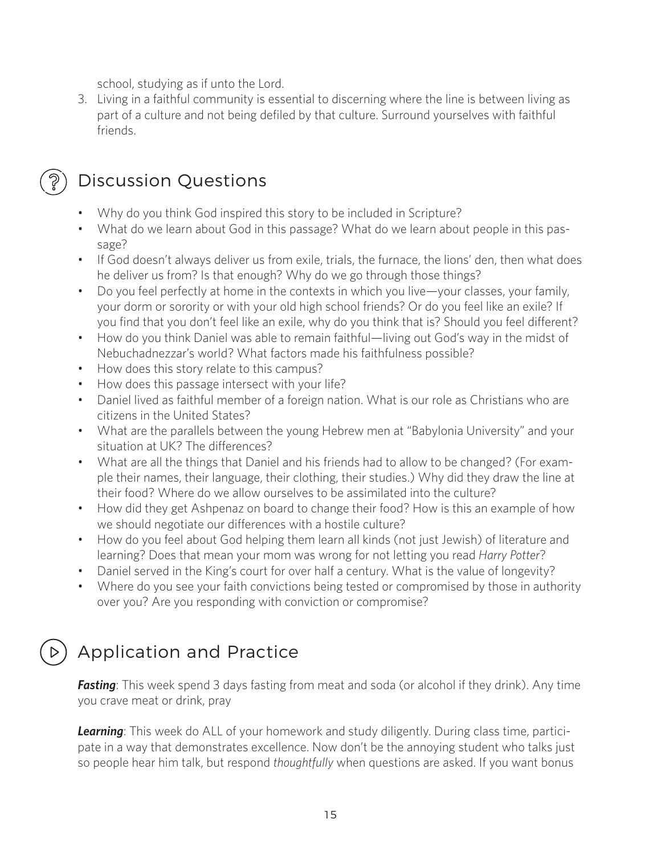school, studying as if unto the Lord.

3. Living in a faithful community is essential to discerning where the line is between living as part of a culture and not being defiled by that culture. Surround yourselves with faithful friends.

## Discussion Questions

- Why do you think God inspired this story to be included in Scripture?
- What do we learn about God in this passage? What do we learn about people in this passage?
- If God doesn't always deliver us from exile, trials, the furnace, the lions' den, then what does he deliver us from? Is that enough? Why do we go through those things?
- Do you feel perfectly at home in the contexts in which you live—your classes, your family, your dorm or sorority or with your old high school friends? Or do you feel like an exile? If you find that you don't feel like an exile, why do you think that is? Should you feel different?
- How do you think Daniel was able to remain faithful—living out God's way in the midst of Nebuchadnezzar's world? What factors made his faithfulness possible?
- How does this story relate to this campus?
- How does this passage intersect with your life?
- Daniel lived as faithful member of a foreign nation. What is our role as Christians who are citizens in the United States?
- What are the parallels between the young Hebrew men at "Babylonia University" and your situation at UK? The differences?
- What are all the things that Daniel and his friends had to allow to be changed? (For example their names, their language, their clothing, their studies.) Why did they draw the line at their food? Where do we allow ourselves to be assimilated into the culture?
- How did they get Ashpenaz on board to change their food? How is this an example of how we should negotiate our differences with a hostile culture?
- How do you feel about God helping them learn all kinds (not just Jewish) of literature and learning? Does that mean your mom was wrong for not letting you read *Harry Potter*?
- Daniel served in the King's court for over half a century. What is the value of longevity?
- Where do you see your faith convictions being tested or compromised by those in authority over you? Are you responding with conviction or compromise?

# Application and Practice

**Fasting**: This week spend 3 days fasting from meat and soda (or alcohol if they drink). Any time you crave meat or drink, pray

*Learning*: This week do ALL of your homework and study diligently. During class time, participate in a way that demonstrates excellence. Now don't be the annoying student who talks just so people hear him talk, but respond *thoughtfully* when questions are asked. If you want bonus